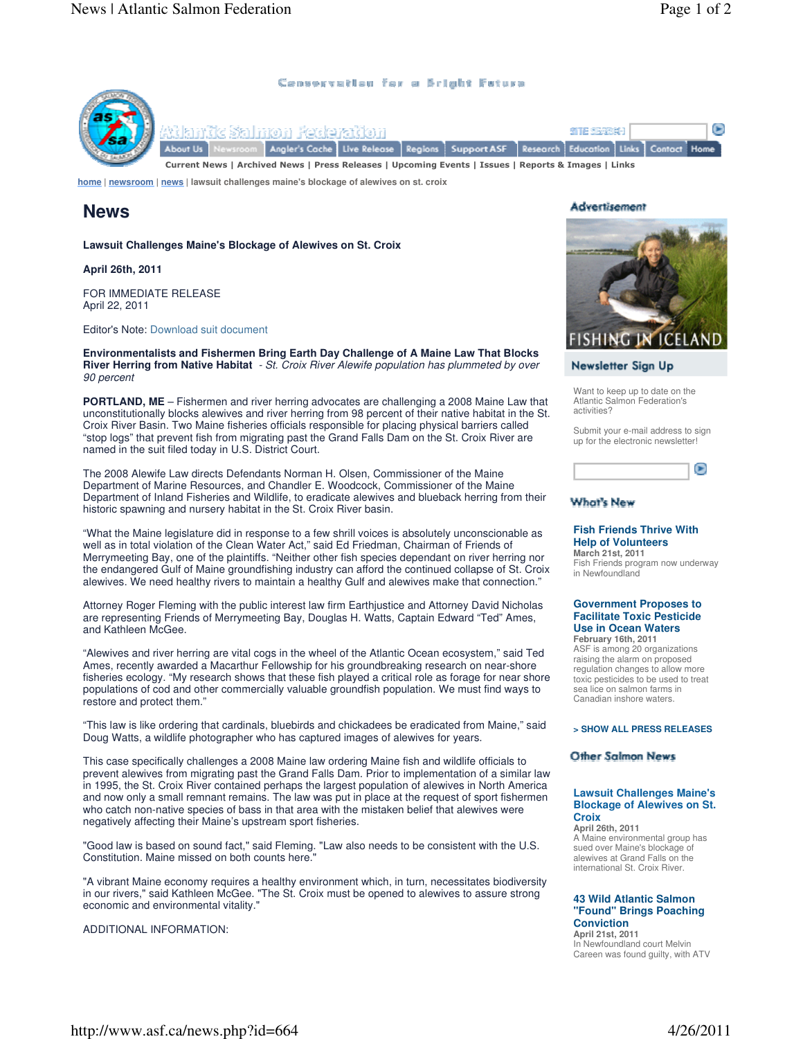(p-

### Censorvation for a Bright Fotura



SITE SEVESI-1 Live Release | Regions | Support ASF Research Education Links Contact Home

Current News | Archived News | Press Releases | Upcoming Events | Issues | Reports & Images | Links

**home | newsroom | news | lawsuit challenges maine's blockage of alewives on st. croix**

# **News**

**Lawsuit Challenges Maine's Blockage of Alewives on St. Croix**

## **April 26th, 2011**

FOR IMMEDIATE RELEASE April 22, 2011

Editor's Note: Download suit document

**Environmentalists and Fishermen Bring Earth Day Challenge of A Maine Law That Blocks River Herring from Native Habitat** - St. Croix River Alewife population has plummeted by over 90 percent

**PORTLAND, ME** – Fishermen and river herring advocates are challenging a 2008 Maine Law that unconstitutionally blocks alewives and river herring from 98 percent of their native habitat in the St. Croix River Basin. Two Maine fisheries officials responsible for placing physical barriers called "stop logs" that prevent fish from migrating past the Grand Falls Dam on the St. Croix River are named in the suit filed today in U.S. District Court.

The 2008 Alewife Law directs Defendants Norman H. Olsen, Commissioner of the Maine Department of Marine Resources, and Chandler E. Woodcock, Commissioner of the Maine Department of Inland Fisheries and Wildlife, to eradicate alewives and blueback herring from their historic spawning and nursery habitat in the St. Croix River basin.

"What the Maine legislature did in response to a few shrill voices is absolutely unconscionable as well as in total violation of the Clean Water Act," said Ed Friedman, Chairman of Friends of Merrymeeting Bay, one of the plaintiffs. "Neither other fish species dependant on river herring nor the endangered Gulf of Maine groundfishing industry can afford the continued collapse of St. Croix alewives. We need healthy rivers to maintain a healthy Gulf and alewives make that connection."

Attorney Roger Fleming with the public interest law firm Earthjustice and Attorney David Nicholas are representing Friends of Merrymeeting Bay, Douglas H. Watts, Captain Edward "Ted" Ames, and Kathleen McGee.

"Alewives and river herring are vital cogs in the wheel of the Atlantic Ocean ecosystem," said Ted Ames, recently awarded a Macarthur Fellowship for his groundbreaking research on near-shore fisheries ecology. "My research shows that these fish played a critical role as forage for near shore populations of cod and other commercially valuable groundfish population. We must find ways to restore and protect them."

"This law is like ordering that cardinals, bluebirds and chickadees be eradicated from Maine," said Doug Watts, a wildlife photographer who has captured images of alewives for years.

This case specifically challenges a 2008 Maine law ordering Maine fish and wildlife officials to prevent alewives from migrating past the Grand Falls Dam. Prior to implementation of a similar law in 1995, the St. Croix River contained perhaps the largest population of alewives in North America and now only a small remnant remains. The law was put in place at the request of sport fishermen who catch non-native species of bass in that area with the mistaken belief that alewives were negatively affecting their Maine's upstream sport fisheries.

"Good law is based on sound fact," said Fleming. "Law also needs to be consistent with the U.S. Constitution. Maine missed on both counts here.

"A vibrant Maine economy requires a healthy environment which, in turn, necessitates biodiversity in our rivers," said Kathleen McGee. "The St. Croix must be opened to alewives to assure strong economic and environmental vitality.

ADDITIONAL INFORMATION:

# **Advertisement**



# Newsletter Sign Up

Want to keep up to date on the Atlantic Salmon Federation's activities?

Submit your e-mail address to sign up for the electronic newsletter!



# **What's New**

#### **Fish Friends Thrive With Help of Volunteers March 21st, 2011**

Fish Friends program now underway in Newfoundland

### **Government Proposes to Facilitate Toxic Pesticide Use in Ocean Waters February 16th, 2011**

ASF is among 20 organizations raising the alarm on proposed regulation changes to allow more toxic pesticides to be used to treat sea lice on salmon farms in Canadian inshore waters.

### **> SHOW ALL PRESS RELEASES**

### **Other Salmon News**

### **Lawsuit Challenges Maine's Blockage of Alewives on St. Croix**

**April 26th, 2011** A Maine environmental group has sued over Maine's blockage of alewives at Grand Falls on the international St. Croix River.

### **43 Wild Atlantic Salmon "Found" Brings Poaching Conviction**

**April 21st, 2011** In Newfoundland court Melvin Careen was found guilty, with ATV